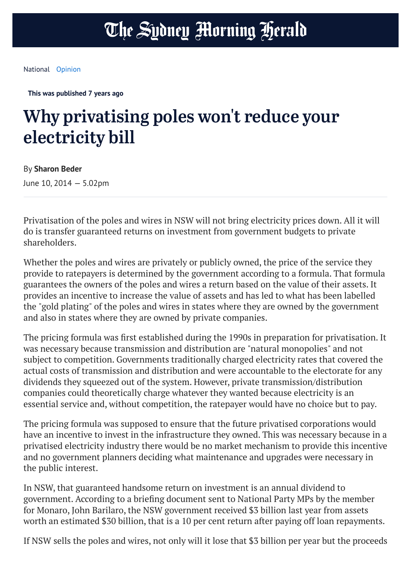## The Sydney Morning Herald

[National](https://www.smh.com.au/national) [Opinion](https://www.smh.com.au/opinion)

**This was published 7 years ago**

## Why privatising poles won't reduce your electricity bill

By **Sharon Beder**

June 10, 2014 — 5.02pm

Privatisation of the poles and wires in NSW will not bring electricity prices down. All it will do is transfer guaranteed returns on investment from government budgets to private shareholders.

Whether the poles and wires are privately or publicly owned, the price of the service they provide to ratepayers is determined by the government according to a formula. That formula guarantees the owners of the poles and wires a return based on the value of their assets. It provides an incentive to increase the value of assets and has led to what has been labelled the "gold plating" of the poles and wires in states where they are owned by the government and also in states where they are owned by private companies.

The pricing formula was first established during the 1990s in preparation for privatisation. It was necessary because transmission and distribution are "natural monopolies" and not subject to competition. Governments traditionally charged electricity rates that covered the actual costs of transmission and distribution and were accountable to the electorate for any dividends they squeezed out of the system. However, private transmission/distribution companies could theoretically charge whatever they wanted because electricity is an essential service and, without competition, the ratepayer would have no choice but to pay.

The pricing formula was supposed to ensure that the future privatised corporations would have an incentive to invest in the infrastructure they owned. This was necessary because in a privatised electricity industry there would be no market mechanism to provide this incentive and no government planners deciding what maintenance and upgrades were necessary in the public interest.

In NSW, that guaranteed handsome return on investment is an annual dividend to government. According to a briefing document sent to National Party MPs by the member for Monaro, John Barilaro, the NSW government received \$3 billion last year from assets worth an estimated \$30 billion, that is a 10 per cent return after paying off loan repayments.

If NSW sells the poles and wires, not only will it lose that \$3 billion per year but the proceeds